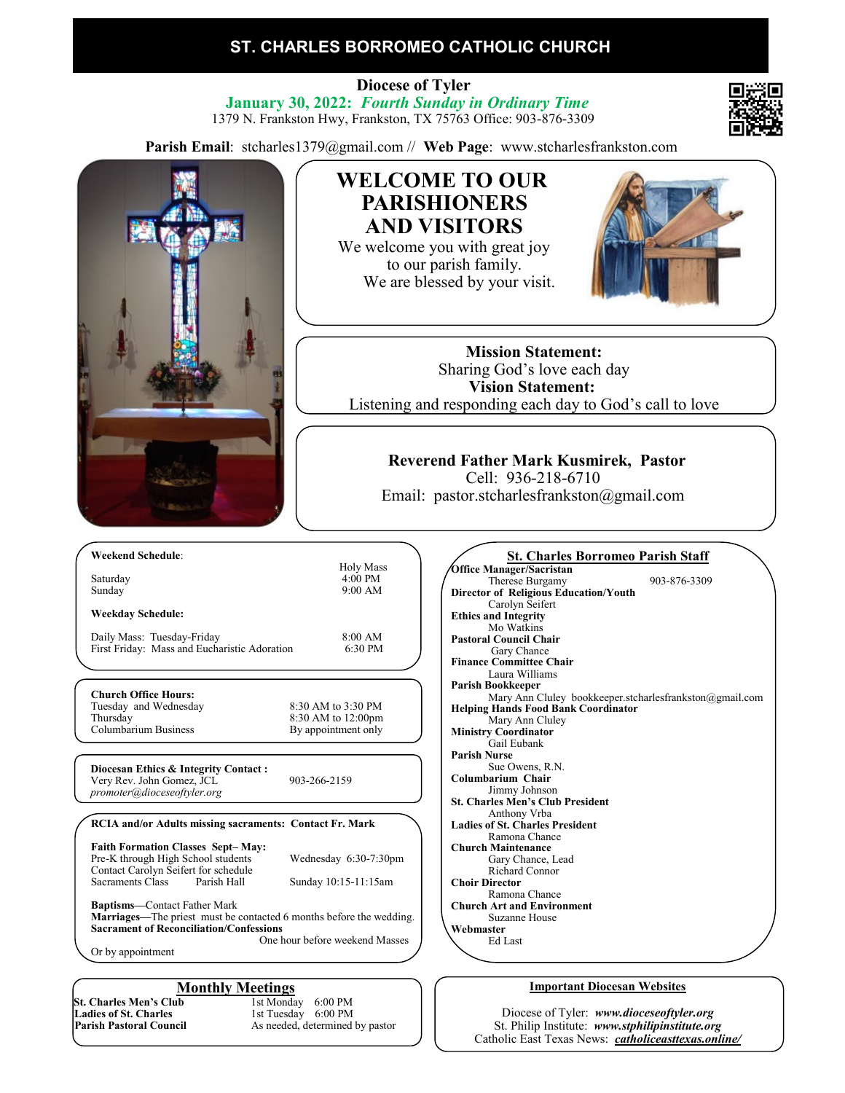### **ST. CHARLES BORROMEO CATHOLIC CHURCH**

 **Diocese of Tyler January 30, 2022:** *Fourth Sunday in Ordinary Time* 1379 N. Frankston Hwy, Frankston, TX 75763 Office: 903-876-3309

**Parish Email**: stcharles1379@gmail.com // **Web Page**: www.stcharlesfrankston.com



As needed, determined by pastor

St. Philip Institute: *www.stphilipinstitute.org* Catholic East Texas News: *catholiceasttexas.online/*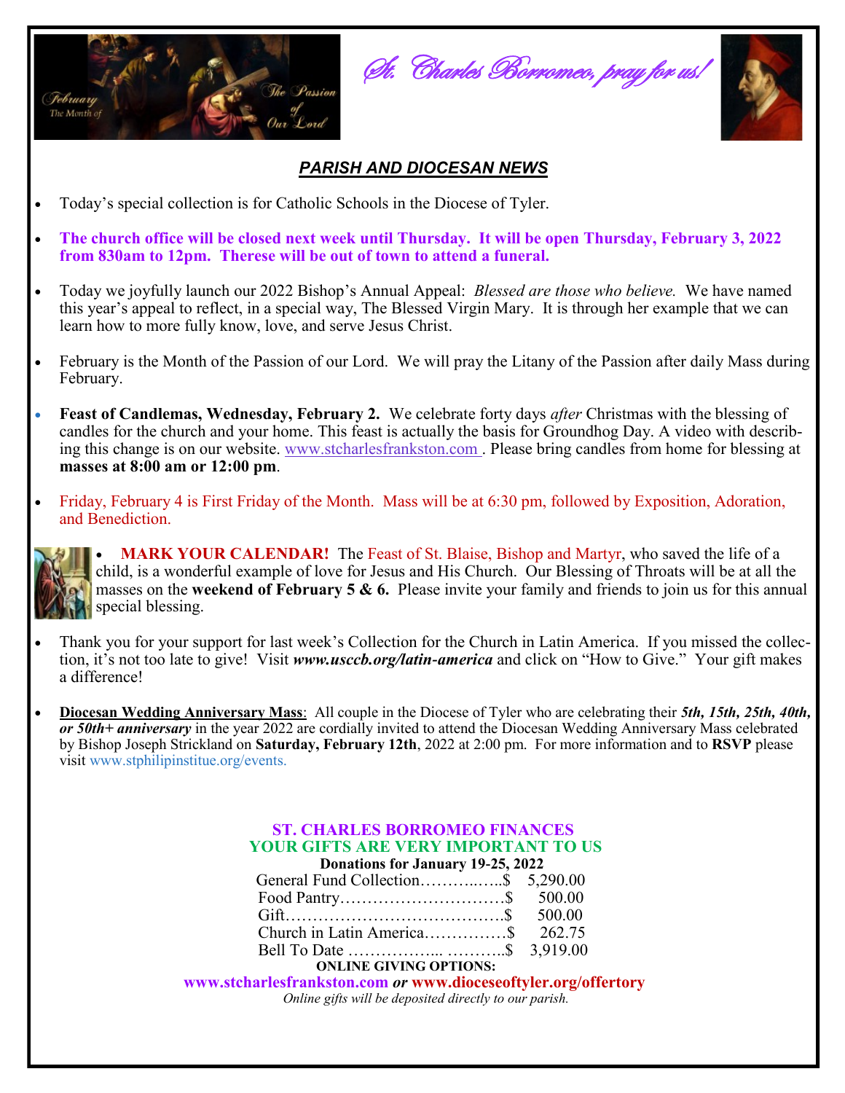

St. Charles Borromeo, pray for us!



### *PARISH AND DIOCESAN NEWS*

- Today's special collection is for Catholic Schools in the Diocese of Tyler.
- **The church office will be closed next week until Thursday. It will be open Thursday, February 3, 2022 from 830am to 12pm. Therese will be out of town to attend a funeral.**
- Today we joyfully launch our 2022 Bishop's Annual Appeal: *Blessed are those who believe.* We have named this year's appeal to reflect, in a special way, The Blessed Virgin Mary. It is through her example that we can learn how to more fully know, love, and serve Jesus Christ.
- February is the Month of the Passion of our Lord. We will pray the Litany of the Passion after daily Mass during February.
- **Feast of Candlemas, Wednesday, February 2.** We celebrate forty days *after* Christmas with the blessing of candles for the church and your home. This feast is actually the basis for Groundhog Day. A video with describing this change is on our website. [www.stcharlesfrankston.com](http://www.stcharlesfrankston.com/) . Please bring candles from home for blessing at **masses at 8:00 am or 12:00 pm**.
- Friday, February 4 is First Friday of the Month. Mass will be at 6:30 pm, followed by Exposition, Adoration, and Benediction.



• **MARK YOUR CALENDAR!** The Feast of St. Blaise, Bishop and Martyr, who saved the life of a child, is a wonderful example of love for Jesus and His Church. Our Blessing of Throats will be at all the masses on the **weekend of February 5 & 6.** Please invite your family and friends to join us for this annual special blessing.

- Thank you for your support for last week's Collection for the Church in Latin America. If you missed the collection, it's not too late to give! Visit *www.usccb.org/latin-america* and click on "How to Give." Your gift makes a difference!
- **Diocesan Wedding Anniversary Mass**: All couple in the Diocese of Tyler who are celebrating their *5th, 15th, 25th, 40th, or 50th+ anniversary* in the year 2022 are cordially invited to attend the Diocesan Wedding Anniversary Mass celebrated by Bishop Joseph Strickland on **Saturday, February 12th**, 2022 at 2:00 pm. For more information and to **RSVP** please visit www.stphilipinstitue.org/events.

#### **ST. CHARLES BORROMEO FINANCES YOUR GIFTS ARE VERY IMPORTANT TO US Donations for January 19-25, 2022**

| Donations for bandary 17-23, 2022 |                                                                                                                |  |  |  |  |
|-----------------------------------|----------------------------------------------------------------------------------------------------------------|--|--|--|--|
|                                   | General Fund Collection\$ 5,290.00                                                                             |  |  |  |  |
|                                   |                                                                                                                |  |  |  |  |
|                                   |                                                                                                                |  |  |  |  |
|                                   |                                                                                                                |  |  |  |  |
|                                   |                                                                                                                |  |  |  |  |
|                                   | 그 아이들은 그 사람들은 아이들을 만들어 보이는 것이 아니라 아이들이 아니라 아이들이 아니라 아이들이 아니라 아이들이 아니라 아이들이 아니라 아이들이 아니라 아이들이 아니라 아이들이 아니라 아이들이 |  |  |  |  |

#### **ONLINE GIVING OPTIONS:**

 **www.stcharlesfrankston.com** *or* **www.dioceseoftyler.org/offertory** *Online gifts will be deposited directly to our parish.*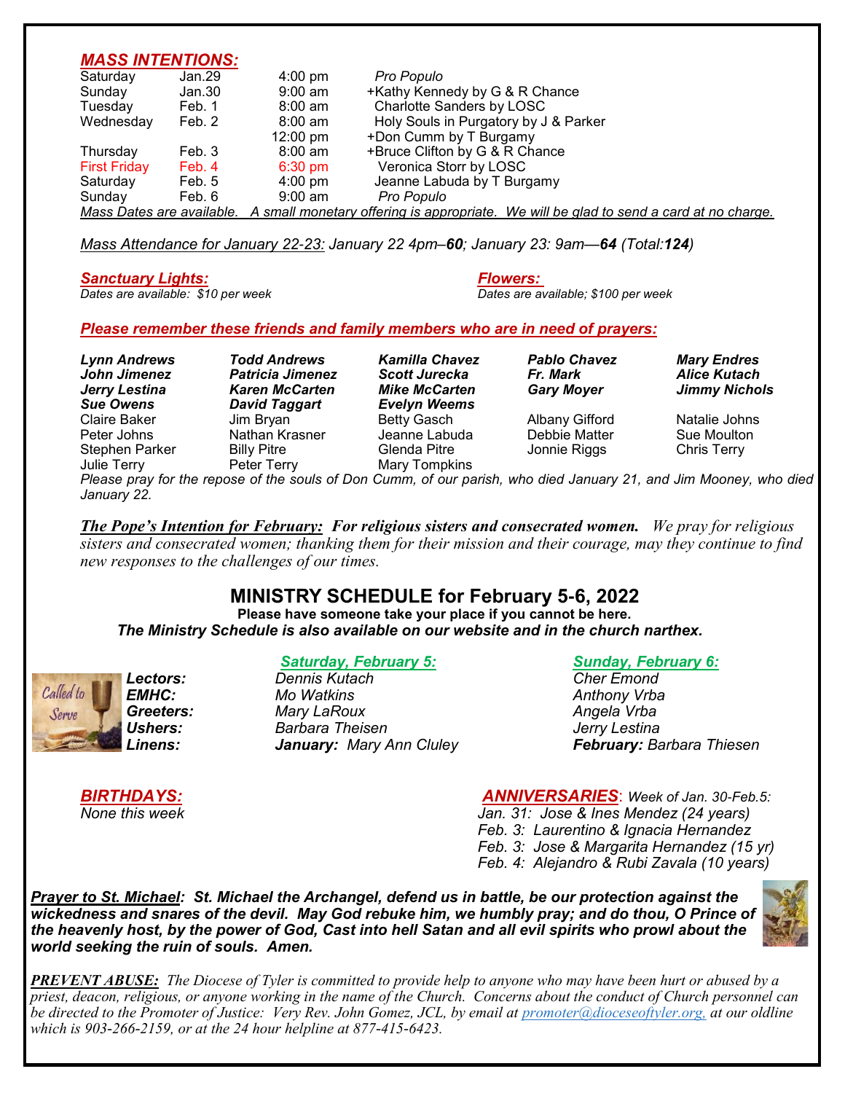### *MASS INTENTIONS:*

| Saturday                                                                                                         | Jan.29 | $4:00 \text{ pm}$  | Pro Populo                            |  |
|------------------------------------------------------------------------------------------------------------------|--------|--------------------|---------------------------------------|--|
| Sunday                                                                                                           | Jan.30 | $9:00$ am          | +Kathy Kennedy by G & R Chance        |  |
| Tuesday                                                                                                          | Feb. 1 | $8:00 \text{ am}$  | Charlotte Sanders by LOSC             |  |
| Wednesday                                                                                                        | Feb. 2 | $8:00$ am          | Holy Souls in Purgatory by J & Parker |  |
|                                                                                                                  |        | $12:00 \text{ pm}$ | +Don Cumm by T Burgamy                |  |
| Thursday                                                                                                         | Feb. 3 | 8:00 am            | +Bruce Clifton by G & R Chance        |  |
| <b>First Friday</b>                                                                                              | Feb. 4 | $6:30 \text{ pm}$  | Veronica Storr by LOSC                |  |
| Saturday                                                                                                         | Feb. 5 | $4:00 \text{ pm}$  | Jeanne Labuda by T Burgamy            |  |
| Sunday                                                                                                           | Feb. 6 | $9:00 \text{ am}$  | Pro Populo                            |  |
| Mass Dates are available. A small monetary offering is appropriate. We will be glad to send a card at no charge. |        |                    |                                       |  |

*Mass Attendance for January 22-23: January 22 4pm–60; January 23: 9am—64 (Total:124)*

*Sanctuary Lights: Flowers:* 

# *Dates are available: \$10 per week Dates are available; \$100 per week*

#### *Please remember these friends and family members who are in need of prayers:*

*Lynn Andrews Todd Andrews Kamilla Chavez Pablo Chavez Mary Endres John Jimenez Patricia Jimenez Scott Jurecka Fr. Mark Alice Kutach Jerry Lestina Karen McCarten Mike McCarten Gary Moyer Jimmy Nichols Sue Owens David Taggart Evelyn Weems* Peter Johns Nathan Krasner Jeanne Labuda Debbie Matter Sue Moulton Stephen Parker Billy Pitre Julie Terry Peter Terry Mary Tompkins

Jim Bryan **Betty Gasch** Albany Gifford Natalie Johns

*Please pray for the repose of the souls of Don Cumm, of our parish, who died January 21, and Jim Mooney, who died January 22.*

*The Pope's Intention for February: For religious sisters and consecrated women. We pray for religious sisters and consecrated women; thanking them for their mission and their courage, may they continue to find new responses to the challenges of our times.*

## **MINISTRY SCHEDULE for February 5-6, 2022**

**Please have someone take your place if you cannot be here.**  *The Ministry Schedule is also available on our website and in the church narthex.*



### *Saturday, February 5: Sunday, February 6:*

*Lectors: Dennis Kutach Cher Emond EMHC: Mo Watkins Anthony Vrba Greeters: Mary LaRoux Angela Vrba Ushers: Barbara Theisen Jerry Lestina January: Mary Ann Cluley* 

*BIRTHDAYS: ANNIVERSARIES*: *Week of Jan. 30-Feb.5: None this week Jan. 31: Jose & Ines Mendez (24 years) Feb. 3: Laurentino & Ignacia Hernandez Feb. 3: Jose & Margarita Hernandez (15 yr) Feb. 4: Alejandro & Rubi Zavala (10 years)*

*Prayer to St. Michael: St. Michael the Archangel, defend us in battle, be our protection against the wickedness and snares of the devil. May God rebuke him, we humbly pray; and do thou, O Prince of the heavenly host, by the power of God, Cast into hell Satan and all evil spirits who prowl about the world seeking the ruin of souls. Amen.*



*PREVENT ABUSE: The Diocese of Tyler is committed to provide help to anyone who may have been hurt or abused by a priest, deacon, religious, or anyone working in the name of the Church. Concerns about the conduct of Church personnel can be directed to the Promoter of Justice: Very Rev. John Gomez, JCL, by email at promoter@dioceseoftyler.org, at our oldline which is 903-266-2159, or at the 24 hour helpline at 877-415-6423.*